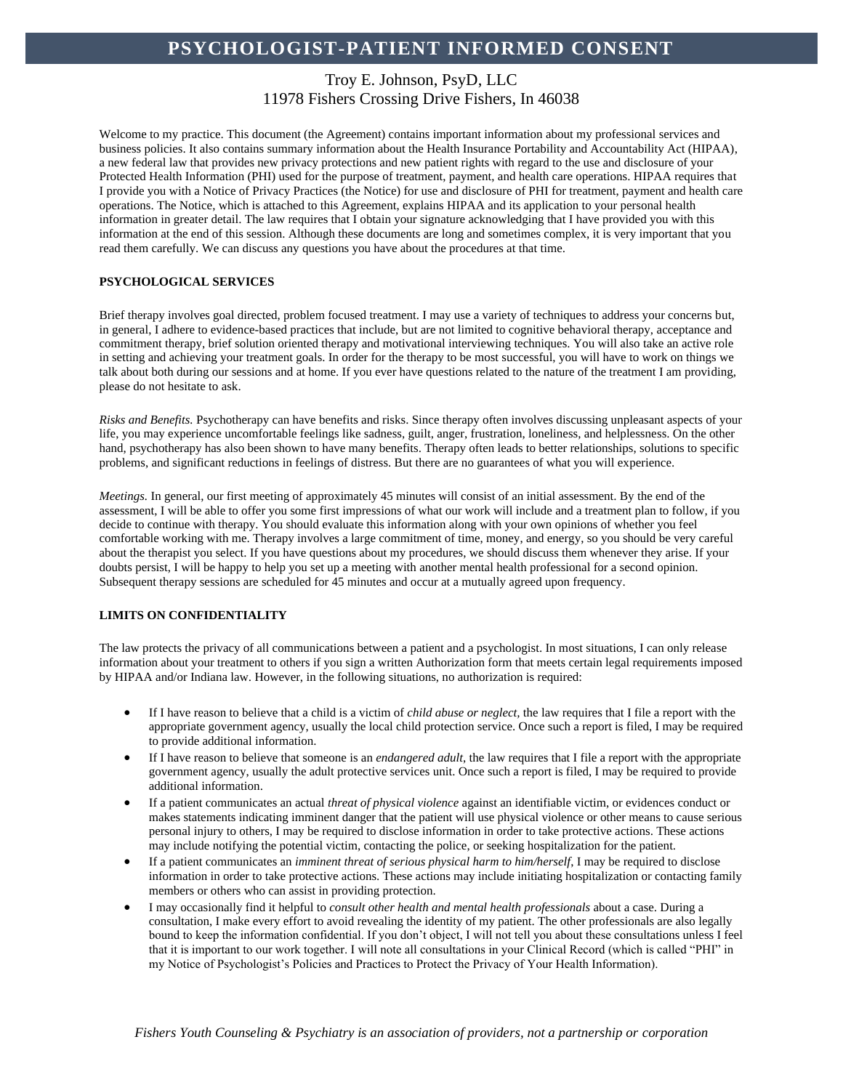# Troy E. Johnson, PsyD, LLC 11978 Fishers Crossing Drive Fishers, In 46038

Welcome to my practice. This document (the Agreement) contains important information about my professional services and business policies. It also contains summary information about the Health Insurance Portability and Accountability Act (HIPAA), a new federal law that provides new privacy protections and new patient rights with regard to the use and disclosure of your Protected Health Information (PHI) used for the purpose of treatment, payment, and health care operations. HIPAA requires that I provide you with a Notice of Privacy Practices (the Notice) for use and disclosure of PHI for treatment, payment and health care operations. The Notice, which is attached to this Agreement, explains HIPAA and its application to your personal health information in greater detail. The law requires that I obtain your signature acknowledging that I have provided you with this information at the end of this session. Although these documents are long and sometimes complex, it is very important that you read them carefully. We can discuss any questions you have about the procedures at that time.

### **PSYCHOLOGICAL SERVICES**

Brief therapy involves goal directed, problem focused treatment. I may use a variety of techniques to address your concerns but, in general, I adhere to evidence-based practices that include, but are not limited to cognitive behavioral therapy, acceptance and commitment therapy, brief solution oriented therapy and motivational interviewing techniques. You will also take an active role in setting and achieving your treatment goals. In order for the therapy to be most successful, you will have to work on things we talk about both during our sessions and at home. If you ever have questions related to the nature of the treatment I am providing, please do not hesitate to ask.

*Risks and Benefits.* Psychotherapy can have benefits and risks. Since therapy often involves discussing unpleasant aspects of your life, you may experience uncomfortable feelings like sadness, guilt, anger, frustration, loneliness, and helplessness. On the other hand, psychotherapy has also been shown to have many benefits. Therapy often leads to better relationships, solutions to specific problems, and significant reductions in feelings of distress. But there are no guarantees of what you will experience.

*Meetings.* In general, our first meeting of approximately 45 minutes will consist of an initial assessment. By the end of the assessment, I will be able to offer you some first impressions of what our work will include and a treatment plan to follow, if you decide to continue with therapy. You should evaluate this information along with your own opinions of whether you feel comfortable working with me. Therapy involves a large commitment of time, money, and energy, so you should be very careful about the therapist you select. If you have questions about my procedures, we should discuss them whenever they arise. If your doubts persist, I will be happy to help you set up a meeting with another mental health professional for a second opinion. Subsequent therapy sessions are scheduled for 45 minutes and occur at a mutually agreed upon frequency.

### **LIMITS ON CONFIDENTIALITY**

The law protects the privacy of all communications between a patient and a psychologist. In most situations, I can only release information about your treatment to others if you sign a written Authorization form that meets certain legal requirements imposed by HIPAA and/or Indiana law. However, in the following situations, no authorization is required:

- If I have reason to believe that a child is a victim of *child abuse or neglect,* the law requires that I file a report with the appropriate government agency, usually the local child protection service. Once such a report is filed, I may be required to provide additional information.
- If I have reason to believe that someone is an *endangered adult*, the law requires that I file a report with the appropriate government agency, usually the adult protective services unit. Once such a report is filed, I may be required to provide additional information.
- If a patient communicates an actual *threat of physical violence* against an identifiable victim, or evidences conduct or makes statements indicating imminent danger that the patient will use physical violence or other means to cause serious personal injury to others, I may be required to disclose information in order to take protective actions. These actions may include notifying the potential victim, contacting the police, or seeking hospitalization for the patient.
- If a patient communicates an *imminent threat of serious physical harm to him/herself*, I may be required to disclose information in order to take protective actions. These actions may include initiating hospitalization or contacting family members or others who can assist in providing protection.
- I may occasionally find it helpful to *consult other health and mental health professionals* about a case. During a consultation, I make every effort to avoid revealing the identity of my patient. The other professionals are also legally bound to keep the information confidential. If you don't object, I will not tell you about these consultations unless I feel that it is important to our work together. I will note all consultations in your Clinical Record (which is called "PHI" in my Notice of Psychologist's Policies and Practices to Protect the Privacy of Your Health Information).